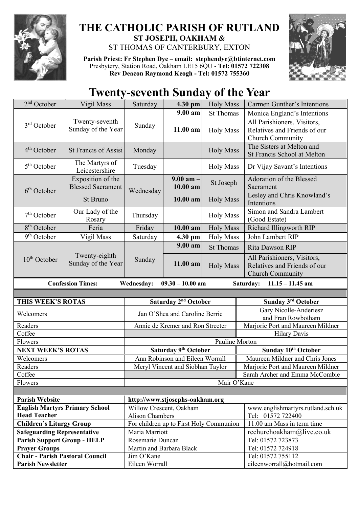

## **THE CATHOLIC PARISH OF RUTLAND ST JOSEPH, OAKHAM &**  ST THOMAS OF CANTERBURY, EXTON

**Parish Priest: Fr Stephen Dye** – **[email: stephendye@btinternet.com](mailto:email:%20%20stephendye@btinternet.com)** Presbytery, Station Road, Oakham LE15 6QU - **Tel: 01572 722308 Rev Deacon Raymond Keogh - Tel: 01572 755360**



## **Twenty-seventh Sunday of the Year**

| $2nd$ October                                                                                          | Vigil Mass                                    | Saturday                         | 4.30 pm                                                    | <b>Holy Mass</b> | Carmen Gunther's Intentions                                                     |
|--------------------------------------------------------------------------------------------------------|-----------------------------------------------|----------------------------------|------------------------------------------------------------|------------------|---------------------------------------------------------------------------------|
|                                                                                                        |                                               |                                  | 9.00 am                                                    | <b>St Thomas</b> | Monica England's Intentions                                                     |
| 3 <sup>rd</sup> October                                                                                | Twenty-seventh<br>Sunday of the Year          | Sunday                           | 11.00 am                                                   | <b>Holy Mass</b> | All Parishioners, Visitors,<br>Relatives and Friends of our<br>Church Community |
| $4th$ October                                                                                          | <b>St Francis of Assisi</b>                   | Monday                           |                                                            | <b>Holy Mass</b> | The Sisters at Melton and<br>St Francis School at Melton                        |
| $5th$ October                                                                                          | The Martyrs of<br>Leicestershire              | Tuesday                          |                                                            | <b>Holy Mass</b> | Dr Vijay Savant's Intentions                                                    |
| 6 <sup>th</sup> October                                                                                | Exposition of the<br><b>Blessed Sacrament</b> | Wednesday                        | $9.00$ am $-$<br>10.00 am                                  | St Joseph        | Adoration of the Blessed<br>Sacrament                                           |
|                                                                                                        | St Bruno                                      |                                  | 10.00 am                                                   | <b>Holy Mass</b> | Lesley and Chris Knowland's<br>Intentions                                       |
| $7th$ October                                                                                          | Our Lady of the<br>Rosary                     | Thursday                         |                                                            | <b>Holy Mass</b> | Simon and Sandra Lambert<br>(Good Estate)                                       |
| 8 <sup>th</sup> October                                                                                | Feria                                         | Friday                           | 10.00 am                                                   | <b>Holy Mass</b> | Richard Illingworth RIP                                                         |
| 9 <sup>th</sup> October                                                                                | Vigil Mass                                    | Saturday                         | 4.30 pm                                                    | <b>Holy Mass</b> | John Lambert RIP                                                                |
| $10th$ October                                                                                         | Twenty-eighth<br>Sunday of the Year           | Sunday                           | $9.00$ am                                                  | <b>St Thomas</b> | Rita Dawson RIP                                                                 |
|                                                                                                        |                                               |                                  | 11.00 am                                                   | <b>Holy Mass</b> | All Parishioners, Visitors,<br>Relatives and Friends of our<br>Church Community |
| <b>Confession Times:</b><br><b>Wednesday:</b><br>$09.30 - 10.00$ am<br>Saturday:<br>$11.15 - 11.45$ am |                                               |                                  |                                                            |                  |                                                                                 |
|                                                                                                        |                                               |                                  |                                                            |                  |                                                                                 |
| THIS WEEK'S ROTAS                                                                                      |                                               | Saturday 2 <sup>nd</sup> October |                                                            |                  | Sunday 3rd October                                                              |
| Welcomers                                                                                              |                                               |                                  |                                                            |                  |                                                                                 |
|                                                                                                        |                                               |                                  | Jan O'Shea and Caroline Berrie                             |                  | Gary Nicolle-Anderiesz<br>and Fran Rowbotham                                    |
| Readers                                                                                                |                                               |                                  | Annie de Kremer and Ron Streeter                           |                  | Marjorie Port and Maureen Mildner                                               |
| Coffee                                                                                                 |                                               |                                  |                                                            |                  | <b>Hilary Davis</b>                                                             |
| Flowers                                                                                                |                                               |                                  |                                                            | Pauline Morton   |                                                                                 |
| <b>NEXT WEEK'S ROTAS</b>                                                                               |                                               |                                  | Saturday 9th October                                       |                  | Sunday 10th October                                                             |
| Welcomers                                                                                              |                                               |                                  | Ann Robinson and Eileen Worrall                            |                  | Maureen Mildner and Chris Jones                                                 |
| Readers                                                                                                |                                               |                                  | Meryl Vincent and Siobhan Taylor                           |                  | Marjorie Port and Maureen Mildner                                               |
| Coffee                                                                                                 |                                               |                                  |                                                            |                  | Sarah Archer and Emma McCombie                                                  |
| Flowers                                                                                                |                                               |                                  |                                                            | Mair O'Kane      |                                                                                 |
|                                                                                                        |                                               |                                  |                                                            |                  |                                                                                 |
| <b>Parish Website</b>                                                                                  |                                               |                                  | http://www.stjosephs-oakham.org<br>Willow Crescent, Oakham |                  |                                                                                 |
| <b>English Martyrs Primary School</b><br><b>Head Teacher</b>                                           |                                               | <b>Alison Chambers</b>           |                                                            |                  | www.englishmartyrs.rutland.sch.uk<br>Tel: 01572 722400                          |
| <b>Children's Liturgy Group</b>                                                                        |                                               |                                  | For children up to First Holy Communion                    |                  | 11.00 am Mass in term time                                                      |
| <b>Safeguarding Representative</b>                                                                     |                                               | Maria Marriott                   |                                                            |                  | rcchurchoakham@live.co.uk                                                       |
| <b>Parish Support Group - HELP</b>                                                                     |                                               | Rosemarie Duncan                 |                                                            |                  | Tel: 01572 723873                                                               |
| <b>Prayer Groups</b>                                                                                   |                                               | Martin and Barbara Black         |                                                            |                  | Tel: 01572 724918                                                               |
| <b>Chair - Parish Pastoral Council</b><br><b>Parish Newsletter</b>                                     |                                               | Jim O'Kane<br>Eileen Worrall     |                                                            |                  | Tel: 01572 755112<br>eileenworrall@hotmail.com                                  |